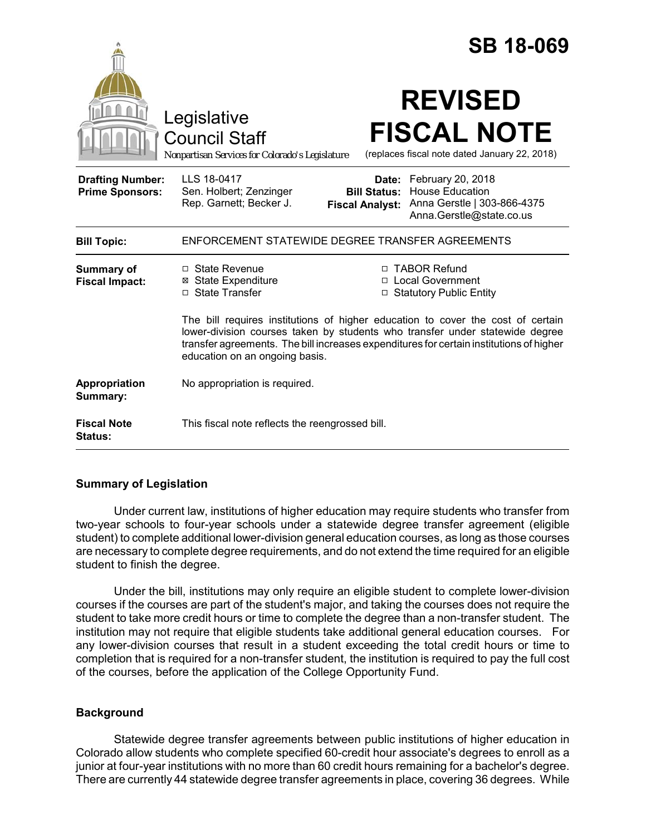|                                                   |                                                                                                                                                                                                                                                                                              |                                                        | <b>SB 18-069</b>                                                                                       |
|---------------------------------------------------|----------------------------------------------------------------------------------------------------------------------------------------------------------------------------------------------------------------------------------------------------------------------------------------------|--------------------------------------------------------|--------------------------------------------------------------------------------------------------------|
|                                                   | Legislative<br><b>Council Staff</b><br>Nonpartisan Services for Colorado's Legislature                                                                                                                                                                                                       |                                                        | <b>REVISED</b><br><b>FISCAL NOTE</b><br>(replaces fiscal note dated January 22, 2018)                  |
| <b>Drafting Number:</b><br><b>Prime Sponsors:</b> | LLS 18-0417<br>Sen. Holbert; Zenzinger<br>Rep. Garnett; Becker J.                                                                                                                                                                                                                            | Date:<br><b>Bill Status:</b><br><b>Fiscal Analyst:</b> | February 20, 2018<br><b>House Education</b><br>Anna Gerstle   303-866-4375<br>Anna.Gerstle@state.co.us |
| <b>Bill Topic:</b>                                | ENFORCEMENT STATEWIDE DEGREE TRANSFER AGREEMENTS                                                                                                                                                                                                                                             |                                                        |                                                                                                        |
| <b>Summary of</b><br><b>Fiscal Impact:</b>        | $\Box$ State Revenue<br><b>⊠</b> State Expenditure<br>□ State Transfer                                                                                                                                                                                                                       |                                                        | □ TABOR Refund<br>□ Local Government<br>□ Statutory Public Entity                                      |
|                                                   | The bill requires institutions of higher education to cover the cost of certain<br>lower-division courses taken by students who transfer under statewide degree<br>transfer agreements. The bill increases expenditures for certain institutions of higher<br>education on an ongoing basis. |                                                        |                                                                                                        |
| Appropriation<br>Summary:                         | No appropriation is required.                                                                                                                                                                                                                                                                |                                                        |                                                                                                        |
| <b>Fiscal Note</b><br>Status:                     | This fiscal note reflects the reengrossed bill.                                                                                                                                                                                                                                              |                                                        |                                                                                                        |

# **Summary of Legislation**

Under current law, institutions of higher education may require students who transfer from two-year schools to four-year schools under a statewide degree transfer agreement (eligible student) to complete additional lower-division general education courses, as long as those courses are necessary to complete degree requirements, and do not extend the time required for an eligible student to finish the degree.

Under the bill, institutions may only require an eligible student to complete lower-division courses if the courses are part of the student's major, and taking the courses does not require the student to take more credit hours or time to complete the degree than a non-transfer student. The institution may not require that eligible students take additional general education courses. For any lower-division courses that result in a student exceeding the total credit hours or time to completion that is required for a non-transfer student, the institution is required to pay the full cost of the courses, before the application of the College Opportunity Fund.

# **Background**

Statewide degree transfer agreements between public institutions of higher education in Colorado allow students who complete specified 60-credit hour associate's degrees to enroll as a junior at four-year institutions with no more than 60 credit hours remaining for a bachelor's degree. There are currently 44 statewide degree transfer agreements in place, covering 36 degrees. While